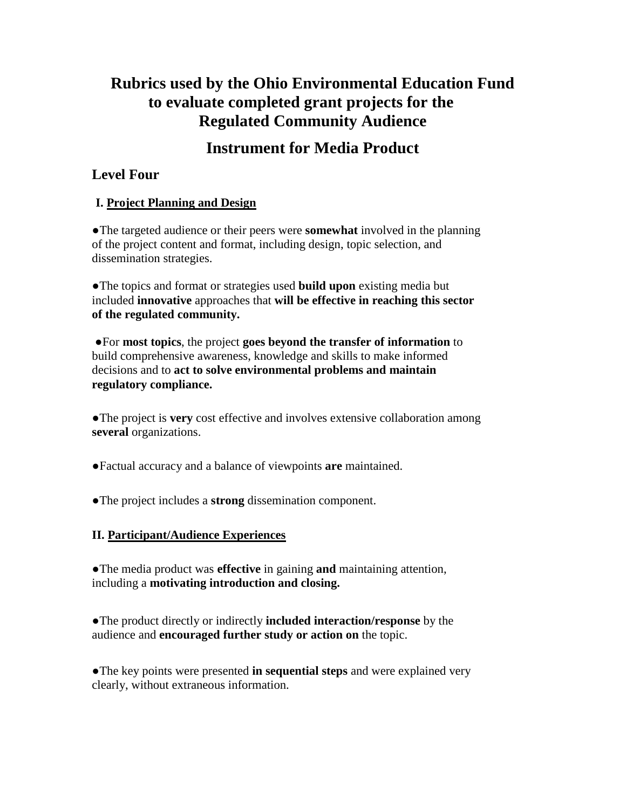# **Rubrics used by the Ohio Environmental Education Fund to evaluate completed grant projects for the Regulated Community Audience**

# **Instrument for Media Product**

# **Level Four**

## **I. Project Planning and Design**

●The targeted audience or their peers were **somewhat** involved in the planning of the project content and format, including design, topic selection, and dissemination strategies.

●The topics and format or strategies used **build upon** existing media but included **innovative** approaches that **will be effective in reaching this sector of the regulated community.**

●For **most topics**, the project **goes beyond the transfer of information** to build comprehensive awareness, knowledge and skills to make informed decisions and to **act to solve environmental problems and maintain regulatory compliance.** 

●The project is **very** cost effective and involves extensive collaboration among **several** organizations.

●Factual accuracy and a balance of viewpoints **are** maintained.

●The project includes a **strong** dissemination component.

## **II. Participant/Audience Experiences**

●The media product was **effective** in gaining **and** maintaining attention, including a **motivating introduction and closing.** 

●The product directly or indirectly **included interaction/response** by the audience and **encouraged further study or action on** the topic.

●The key points were presented **in sequential steps** and were explained very clearly, without extraneous information.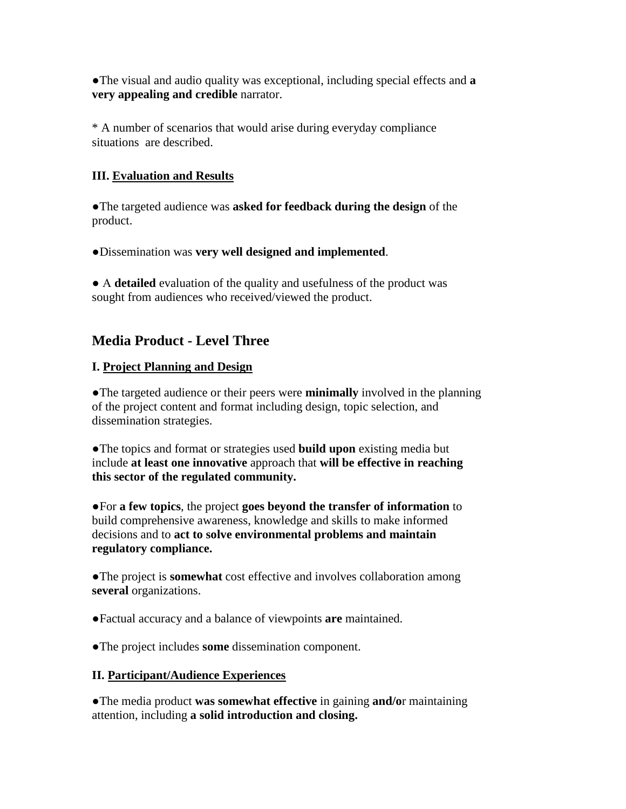●The visual and audio quality was exceptional, including special effects and **a very appealing and credible** narrator.

\* A number of scenarios that would arise during everyday compliance situations are described.

## **III. Evaluation and Results**

●The targeted audience was **asked for feedback during the design** of the product.

●Dissemination was **very well designed and implemented**.

● A **detailed** evaluation of the quality and usefulness of the product was sought from audiences who received/viewed the product.

# **Media Product - Level Three**

### **I. Project Planning and Design**

●The targeted audience or their peers were **minimally** involved in the planning of the project content and format including design, topic selection, and dissemination strategies.

●The topics and format or strategies used **build upon** existing media but include **at least one innovative** approach that **will be effective in reaching this sector of the regulated community.**

●For **a few topics**, the project **goes beyond the transfer of information** to build comprehensive awareness, knowledge and skills to make informed decisions and to **act to solve environmental problems and maintain regulatory compliance.** 

●The project is **somewhat** cost effective and involves collaboration among **several** organizations.

●Factual accuracy and a balance of viewpoints **are** maintained.

●The project includes **some** dissemination component.

#### **II. Participant/Audience Experiences**

●The media product **was somewhat effective** in gaining **and/o**r maintaining attention, including **a solid introduction and closing.**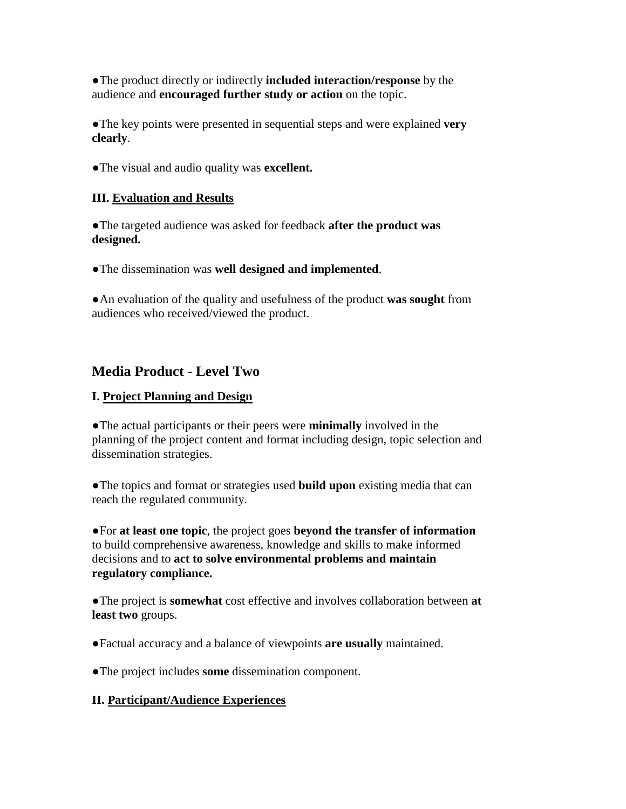●The product directly or indirectly **included interaction/response** by the audience and **encouraged further study or action** on the topic.

●The key points were presented in sequential steps and were explained **very clearly**.

●The visual and audio quality was **excellent.**

#### **III. Evaluation and Results**

●The targeted audience was asked for feedback **after the product was designed.**

●The dissemination was **well designed and implemented**.

●An evaluation of the quality and usefulness of the product **was sought** from audiences who received/viewed the product.

# **Media Product - Level Two**

#### **I. Project Planning and Design**

●The actual participants or their peers were **minimally** involved in the planning of the project content and format including design, topic selection and dissemination strategies.

●The topics and format or strategies used **build upon** existing media that can reach the regulated community.

●For **at least one topic**, the project goes **beyond the transfer of information** to build comprehensive awareness, knowledge and skills to make informed decisions and to **act to solve environmental problems and maintain regulatory compliance.** 

●The project is **somewhat** cost effective and involves collaboration between **at least two** groups.

●Factual accuracy and a balance of viewpoints **are usually** maintained.

●The project includes **some** dissemination component.

#### **II. Participant/Audience Experiences**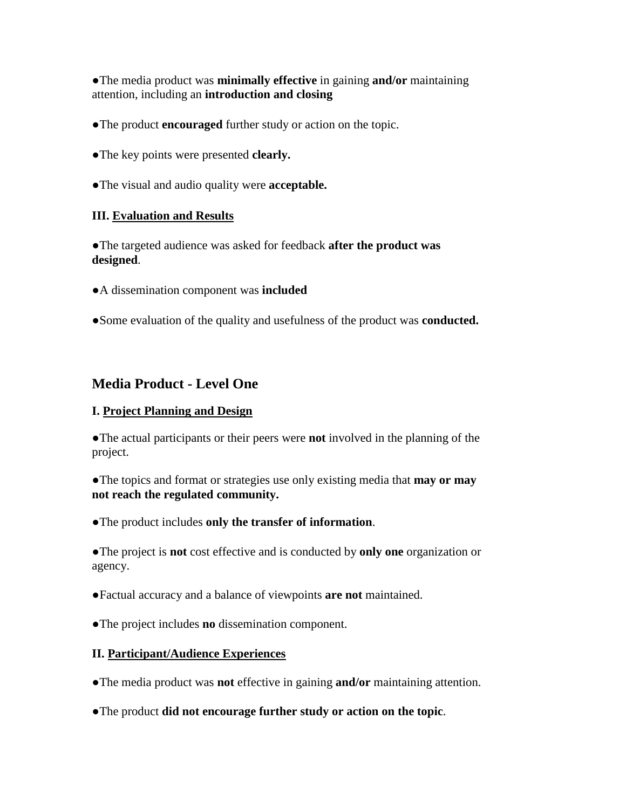●The media product was **minimally effective** in gaining **and/or** maintaining attention, including an **introduction and closing**

- ●The product **encouraged** further study or action on the topic.
- ●The key points were presented **clearly.**
- ●The visual and audio quality were **acceptable.**

#### **III. Evaluation and Results**

●The targeted audience was asked for feedback **after the product was designed**.

- ●A dissemination component was **included**
- ●Some evaluation of the quality and usefulness of the product was **conducted.**

## **Media Product - Level One**

#### **I. Project Planning and Design**

●The actual participants or their peers were **not** involved in the planning of the project.

●The topics and format or strategies use only existing media that **may or may not reach the regulated community.** 

●The product includes **only the transfer of information**.

●The project is **not** cost effective and is conducted by **only one** organization or agency.

●Factual accuracy and a balance of viewpoints **are not** maintained.

●The project includes **no** dissemination component.

#### **II. Participant/Audience Experiences**

●The media product was **not** effective in gaining **and/or** maintaining attention.

●The product **did not encourage further study or action on the topic**.